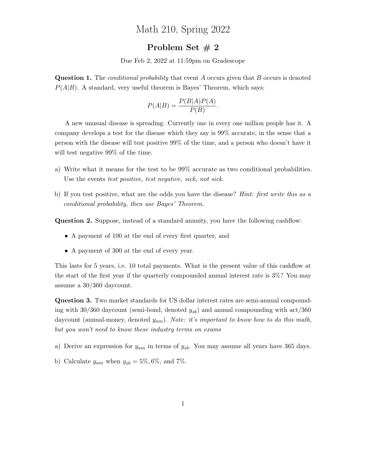## Math 210, Spring 2022

## Problem Set # 2

Due Feb 2, 2022 at 11:59pm on Gradescope

**Question 1.** The *conditional probability* that event A occurs given that B occurs is denoted  $P(A|B)$ . A standard, very useful theorem is Bayes' Theorem, which says:

$$
P(A|B) = \frac{P(B|A)P(A)}{P(B)}.
$$

A new unusual disease is spreading. Currently one in every one million people has it. A company develops a test for the disease which they say is 99% accurate, in the sense that a person with the disease will test positive 99% of the time, and a person who doesn't have it will test negative 99% of the time.

- a) Write what it means for the test to be 99% accurate as two conditional probabilities. Use the events test positive, test negative, sick, not sick.
- b) If you test positive, what are the odds you have the disease? Hint: first write this as a conditional probability, then use Bayes' Theorem.

Question 2. Suppose, instead of a standard annuity, you have the following cashflow:

- A payment of 100 at the end of every first quarter, and
- A payment of 300 at the end of every year.

This lasts for 5 years, i.e. 10 total payments. What is the present value of this cashflow at the start of the first year if the quarterly compounded annual interest rate is 3%? You may assume a 30/360 daycount.

Question 3. Two market standards for US dollar interest rates are semi-annual compounding with 30/360 daycount (semi-bond, denoted  $y_{sb}$ ) and annual compounding with act/360 daycount (annual-money, denoted  $y_{am}$ ). Note: it's important to know how to do this math, but you won't need to know these industry terms on exams

- a) Derive an expression for  $y_{am}$  in terms of  $y_{sb}$ . You may assume all years have 365 days.
- b) Calculate  $y_{am}$  when  $y_{sb} = 5\%, 6\%,$  and 7%.